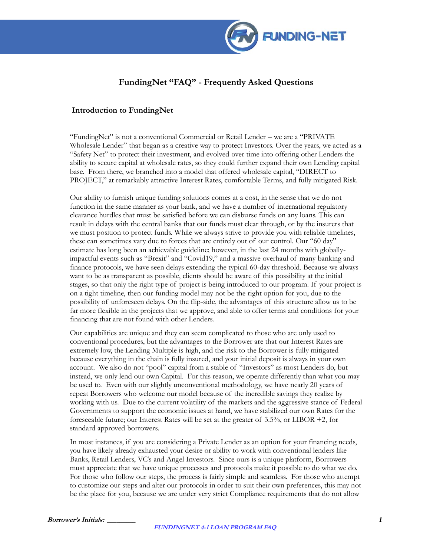

## **FundingNet "FAQ" - Frequently Asked Questions**

### **Introduction to FundingNet**

"FundingNet" is not a conventional Commercial or Retail Lender – we are a "PRIVATE Wholesale Lender" that began as a creative way to protect Investors. Over the years, we acted as a "Safety Net" to protect their investment, and evolved over time into offering other Lenders the ability to secure capital at wholesale rates, so they could further expand their own Lending capital base. From there, we branched into a model that offered wholesale capital, "DIRECT to PROJECT," at remarkably attractive Interest Rates, comfortable Terms, and fully mitigated Risk.

Our ability to furnish unique funding solutions comes at a cost, in the sense that we do not function in the same manner as your bank, and we have a number of international regulatory clearance hurdles that must be satisfied before we can disburse funds on any loans. This can result in delays with the central banks that our funds must clear through, or by the insurers that we must position to protect funds. While we always strive to provide you with reliable timelines, these can sometimes vary due to forces that are entirely out of our control. Our "60 day" estimate has long been an achievable guideline; however, in the last 24 months with globallyimpactful events such as "Brexit" and "Covid19," and a massive overhaul of many banking and finance protocols, we have seen delays extending the typical 60-day threshold. Because we always want to be as transparent as possible, clients should be aware of this possibility at the initial stages, so that only the right type of project is being introduced to our program. If your project is on a tight timeline, then our funding model may not be the right option for you, due to the possibility of unforeseen delays. On the flip-side, the advantages of this structure allow us to be far more flexible in the projects that we approve, and able to offer terms and conditions for your financing that are not found with other Lenders.

Our capabilities are unique and they can seem complicated to those who are only used to conventional procedures, but the advantages to the Borrower are that our Interest Rates are extremely low, the Lending Multiple is high, and the risk to the Borrower is fully mitigated because everything in the chain is fully insured, and your initial deposit is always in your own account. We also do not "pool" capital from a stable of "Investors" as most Lenders do, but instead, we only lend our own Capital. For this reason, we operate differently than what you may be used to. Even with our slightly unconventional methodology, we have nearly 20 years of repeat Borrowers who welcome our model because of the incredible savings they realize by working with us. Due to the current volatility of the markets and the aggressive stance of Federal Governments to support the economic issues at hand, we have stabilized our own Rates for the foreseeable future; our Interest Rates will be set at the greater of 3.5%, or LIBOR +2, for standard approved borrowers.

In most instances, if you are considering a Private Lender as an option for your financing needs, you have likely already exhausted your desire or ability to work with conventional lenders like Banks, Retail Lenders, VC's and Angel Investors. Since ours is a unique platform, Borrowers must appreciate that we have unique processes and protocols make it possible to do what we do. For those who follow our steps, the process is fairly simple and seamless. For those who attempt to customize our steps and alter our protocols in order to suit their own preferences, this may not be the place for you, because we are under very strict Compliance requirements that do not allow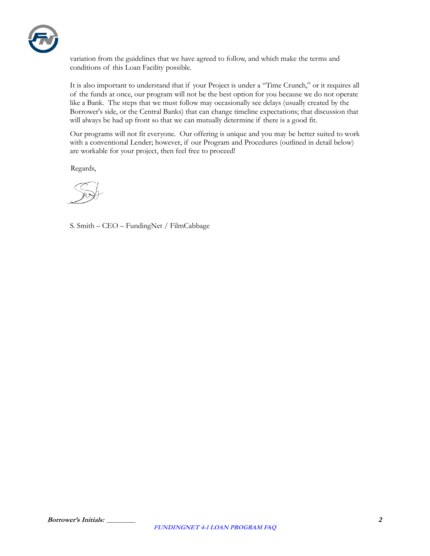

variation from the guidelines that we have agreed to follow, and which make the terms and conditions of this Loan Facility possible.

It is also important to understand that if your Project is under a "Time Crunch," or it requires all of the funds at once, our program will not be the best option for you because we do not operate like a Bank. The steps that we must follow may occasionally see delays (usually created by the Borrower's side, or the Central Banks) that can change timeline expectations; that discussion that will always be had up front so that we can mutually determine if there is a good fit.

Our programs will not fit everyone. Our offering is unique and you may be better suited to work with a conventional Lender; however, if our Program and Procedures (outlined in detail below) are workable for your project, then feel free to proceed!

Regards,

S. Smith – CEO – FundingNet / FilmCabbage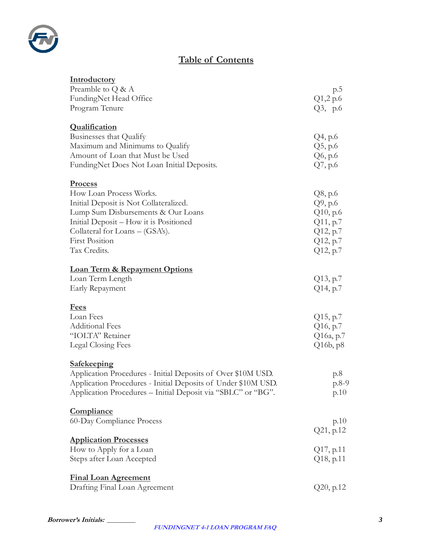

# **Table of Contents**

| Introductory                                                  |                         |
|---------------------------------------------------------------|-------------------------|
| Preamble to $Q \& A$                                          | p.5                     |
| FundingNet Head Office<br>Program Tenure                      | Q1,2 p.6                |
|                                                               | Q3, p.6                 |
| <b>Qualification</b>                                          |                         |
| Businesses that Qualify                                       | Q4, p.6                 |
| Maximum and Minimums to Qualify                               | $Q5$ , p.6              |
| Amount of Loan that Must be Used                              | Q6, p.6                 |
| FundingNet Does Not Loan Initial Deposits.                    | $Q7$ , p.6              |
| <b>Process</b>                                                |                         |
| How Loan Process Works.                                       | Q8, p.6                 |
| Initial Deposit is Not Collateralized.                        | Q9, p.6                 |
| Lump Sum Disbursements & Our Loans                            | Q10, p.6                |
| Initial Deposit – How it is Positioned                        | Q11, p.7                |
| Collateral for Loans – (GSA's).                               | Q12, p.7                |
| <b>First Position</b>                                         | Q12, p.7                |
| Tax Credits.                                                  | Q12, p.7                |
| <b>Loan Term &amp; Repayment Options</b>                      |                         |
| Loan Term Length                                              | Q13, p.7                |
| Early Repayment                                               | Q14, p.7                |
|                                                               |                         |
| <u>Fees</u><br>Loan Fees                                      |                         |
| <b>Additional Fees</b>                                        | $Q15$ , p.7<br>Q16, p.7 |
| "IOLTA" Retainer                                              | Q16a, p.7               |
| Legal Closing Fees                                            | Q16b, p8                |
|                                                               |                         |
| <b>Safekeeping</b>                                            |                         |
| Application Procedures - Initial Deposits of Over \$10M USD.  | p.8                     |
| Application Procedures - Initial Deposits of Under \$10M USD. | $p.8-9$                 |
| Application Procedures - Initial Deposit via "SBLC" or "BG".  | p.10                    |
| <b>Compliance</b>                                             |                         |
| 60-Day Compliance Process                                     | p.10                    |
|                                                               | Q21, p.12               |
| <b>Application Processes</b>                                  |                         |
| How to Apply for a Loan                                       | Q17, p.11               |
| Steps after Loan Accepted                                     | Q18, p.11               |
| <b>Final Loan Agreement</b>                                   |                         |
| Drafting Final Loan Agreement                                 | Q20, p.12               |
|                                                               |                         |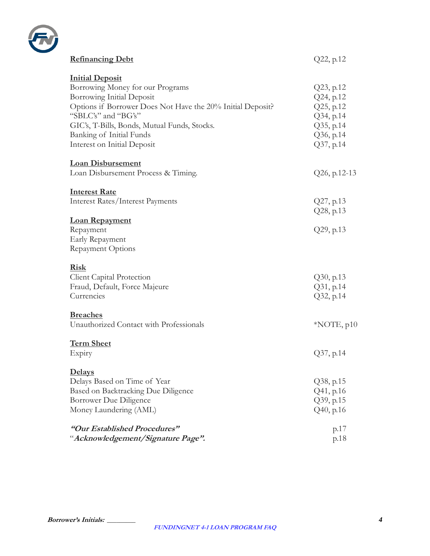

| <b>Refinancing Debt</b>                                                                                                                                                                                                                                                                        | Q22, p.12                                                                               |
|------------------------------------------------------------------------------------------------------------------------------------------------------------------------------------------------------------------------------------------------------------------------------------------------|-----------------------------------------------------------------------------------------|
| <b>Initial Deposit</b><br>Borrowing Money for our Programs<br><b>Borrowing Initial Deposit</b><br>Options if Borrower Does Not Have the 20% Initial Deposit?<br>"SBLC's" and "BG's"<br>GIC's, T-Bills, Bonds, Mutual Funds, Stocks.<br>Banking of Initial Funds<br>Interest on Initial Deposit | Q23, p.12<br>Q24, p.12<br>Q25, p.12<br>Q34, p.14<br>Q35, p.14<br>Q36, p.14<br>Q37, p.14 |
| <b>Loan Disbursement</b><br>Loan Disbursement Process & Timing.                                                                                                                                                                                                                                | $Q26$ , p.12-13                                                                         |
| <b>Interest Rate</b><br>Interest Rates/Interest Payments                                                                                                                                                                                                                                       | Q27, p.13<br>Q28, p.13                                                                  |
| <b>Loan Repayment</b><br>Repayment<br>Early Repayment<br><b>Repayment Options</b>                                                                                                                                                                                                              | Q29, p.13                                                                               |
| <b>Risk</b><br>Client Capital Protection<br>Fraud, Default, Force Majeure<br>Currencies                                                                                                                                                                                                        | Q30, p.13<br>Q31, p.14<br>Q32, p.14                                                     |
| <b>Breaches</b><br>Unauthorized Contact with Professionals                                                                                                                                                                                                                                     | $*NOTE, p10$                                                                            |
| <u>Term Sheet</u><br>Expiry                                                                                                                                                                                                                                                                    | Q37, p.14                                                                               |
| <u>Delays</u><br>Delays Based on Time of Year<br>Based on Backtracking Due Diligence<br>Borrower Due Diligence<br>Money Laundering (AML)                                                                                                                                                       | Q38, p.15<br>Q41, p.16<br>Q39, p.15<br>Q40, p.16                                        |
| "Our Established Procedures"<br>"Acknowledgement/Signature Page".                                                                                                                                                                                                                              | p.17<br>p.18                                                                            |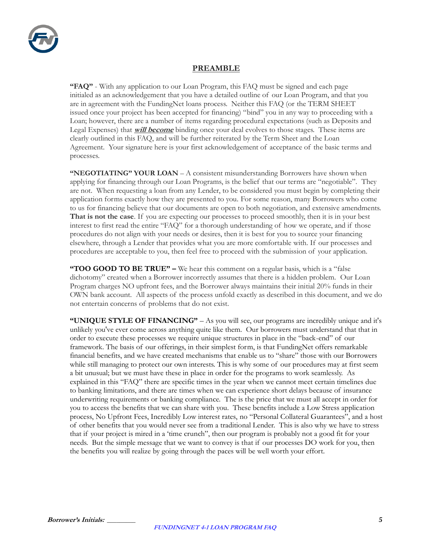

### **PREAMBLE**

**"FAQ"** - With any application to our Loan Program, this FAQ must be signed and each page initialed as an acknowledgement that you have a detailed outline of our Loan Program, and that you are in agreement with the FundingNet loans process. Neither this FAQ (or the TERM SHEET issued once your project has been accepted for financing) "bind" you in any way to proceeding with a Loan; however, there are a number of items regarding procedural expectations (such as Deposits and Legal Expenses) that **will become** binding once your deal evolves to those stages. These items are clearly outlined in this FAQ, and will be further reiterated by the Term Sheet and the Loan Agreement. Your signature here is your first acknowledgement of acceptance of the basic terms and processes.

**"NEGOTIATING" YOUR LOAN** – A consistent misunderstanding Borrowers have shown when applying for financing through our Loan Programs, is the belief that our terms are "negotiable". They are not. When requesting a loan from any Lender, to be considered you must begin by completing their application forms exactly how they are presented to you. For some reason, many Borrowers who come to us for financing believe that our documents are open to both negotiation, and extensive amendments. **That is not the case**. If you are expecting our processes to proceed smoothly, then it is in your best interest to first read the entire "FAQ" for a thorough understanding of how we operate, and if those procedures do not align with your needs or desires, then it is best for you to source your financing elsewhere, through a Lender that provides what you are more comfortable with. If our processes and procedures are acceptable to you, then feel free to proceed with the submission of your application.

**"TOO GOOD TO BE TRUE" –** We hear this comment on a regular basis, which is a "false dichotomy" created when a Borrower incorrectly assumes that there is a hidden problem. Our Loan Program charges NO upfront fees, and the Borrower always maintains their initial 20% funds in their OWN bank account. All aspects of the process unfold exactly as described in this document, and we do not entertain concerns of problems that do not exist.

**"UNIQUE STYLE OF FINANCING"** – As you will see, our programs are incredibly unique and it's unlikely you've ever come across anything quite like them. Our borrowers must understand that that in order to execute these processes we require unique structures in place in the "back-end" of our framework. The basis of our offerings, in their simplest form, is that FundingNet offers remarkable financial benefits, and we have created mechanisms that enable us to "share" those with our Borrowers while still managing to protect our own interests. This is why some of our procedures may at first seem a bit unusual; but we must have these in place in order for the programs to work seamlessly. As explained in this "FAQ" there are specific times in the year when we cannot meet certain timelines due to banking limitations, and there are times when we can experience short delays because of insurance underwriting requirements or banking compliance. The is the price that we must all accept in order for you to access the benefits that we can share with you. These benefits include a Low Stress application process, No Upfront Fees, Incredibly Low interest rates, no "Personal Collateral Guarantees", and a host of other benefits that you would never see from a traditional Lender. This is also why we have to stress that if your project is mired in a 'time crunch", then our program is probably not a good fit for your needs. But the simple message that we want to convey is that if our processes DO work for you, then the benefits you will realize by going through the paces will be well worth your effort.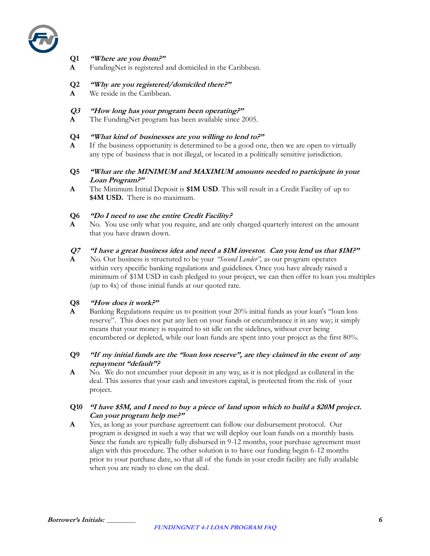

### **Q1 "Where are you from?"**

- **A** FundingNet is registered and domiciled in the Caribbean.
- **Q2 "Why are you registered/domiciled there?"**
- **A** We reside in the Caribbean.

### **Q3 "How long has your program been operating?"**

**A** The FundingNet program has been available since 2005.

**Q4 "What kind of businesses are you willing to lend to?"**

- **A** If the business opportunity is determined to be a good one, then we are open to virtually any type of business that is not illegal, or located in a politically sensitive jurisdiction.
- **Q5 "What are the MINIMUM and MAXIMUM amounts needed to participate in your Loan Program?"**
- **A** The Minimum Initial Deposit is **\$1M USD**. This will result in a Credit Facility of up to **\$4M USD.** There is no maximum.

### **Q6 "Do I need to use the entire Credit Facility?**

**A** No. You use only what you require, and are only charged quarterly interest on the amount that you have drawn down.

### **Q7 "I have a great business idea and need a \$1M investor. Can you lend us that \$1M?"**

**A** No. Our business is structured to be your *"Second Lender",* as our program operates within very specific banking regulations and guidelines. Once you have already raised a minimum of \$1M USD in cash pledged to your project, we can then offer to loan you multiples (up to 4x) of those initial funds at our quoted rate.

### **Q8 "How does it work?"**

**A** Banking Regulations require us to position your 20% initial funds as your loan's "loan loss" reserve". This does not put any lien on your funds or encumbrance it in any way; it simply means that your money is required to sit idle on the sidelines, without ever being encumbered or depleted, while our loan funds are spent into your project as the first 80%.

### **Q9 "If my initial funds are the "loan loss reserve", are they claimed in the event of any repayment "default"?**

**A** No. We do not encumber your deposit in any way, as it is not pledged as collateral in the deal. This assures that your cash and investors capital, is protected from the risk of your project.

### **Q10 "I have \$5M, and I need to buy a piece of land upon which to build a \$20M project. Can your program help me?"**

**A** Yes, as long as your purchase agreement can follow our disbursement protocol.Our program is designed in such a way that we will deploy our loan funds on a monthly basis. Since the funds are typically fully disbursed in 9-12 months, your purchase agreement must align with this procedure. The other solution is to have our funding begin 6-12 months prior to your purchase date, so that all of the funds in your credit facility are fully available when you are ready to close on the deal.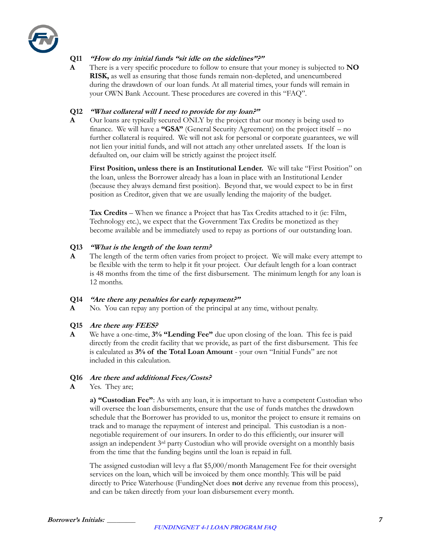

### **Q11 "How do my initial funds "sit idle on the sidelines"?"**

**A** There is a very specific procedure to follow to ensure that your money is subjected to **NO RISK,** as well as ensuring that those funds remain non-depleted, and unencumbered during the drawdown of our loan funds. At all material times, your funds will remain in your OWN Bank Account. These procedures are covered in this "FAQ".

### **Q12 "What collateral will I need to provide for my loan?"**

**A** Our loans are typically secured ONLY by the project that our money is being used to finance. We will have a **"GSA"** (General Security Agreement) on the project itself – no further collateral is required. We will not ask for personal or corporate guarantees, we will not lien your initial funds, and will not attach any other unrelated assets. If the loan is defaulted on, our claim will be strictly against the project itself.

**First Position, unless there is an Institutional Lender.** We will take "First Position" on the loan, unless the Borrower already has a loan in place with an Institutional Lender (because they always demand first position). Beyond that, we would expect to be in first position as Creditor, given that we are usually lending the majority of the budget.

**Tax Credits** – When we finance a Project that has Tax Credits attached to it (ie: Film, Technology etc.), we expect that the Government Tax Credits be monetized as they become available and be immediately used to repay as portions of our outstanding loan.

### **Q13 "What is the length of the loan term?**

**A** The length of the term often varies from project to project. We will make every attempt to be flexible with the term to help it fit your project. Our default length for a loan contract is 48 months from the time of the first disbursement. The minimum length for any loan is 12 months.

### **Q14 "Are there any penalties for early repayment?"**

**A** No. You can repay any portion of the principal at any time, without penalty.

### **Q15 Are there any FEES?**

**A** We have a one-time, **3% "Lending Fee"** due upon closing of the loan. This fee is paid directly from the credit facility that we provide, as part of the first disbursement. This fee is calculated as **3% of the Total Loan Amount** - your own "Initial Funds" are not included in this calculation.

#### **Q16 Are there and additional Fees/Costs?**

**A** Yes. They are;

**a) "Custodian Fee"**: As with any loan, it is important to have a competent Custodian who will oversee the loan disbursements, ensure that the use of funds matches the drawdown schedule that the Borrower has provided to us, monitor the project to ensure it remains on track and to manage the repayment of interest and principal. This custodian is a nonnegotiable requirement of our insurers. In order to do this efficiently, our insurer will assign an independent 3rd party Custodian who will provide oversight on a monthly basis from the time that the funding begins until the loan is repaid in full.

The assigned custodian will levy a flat \$5,000/month Management Fee for their oversight services on the loan, which will be invoiced by them once monthly. This will be paid directly to Price Waterhouse (FundingNet does **not** derive any revenue from this process), and can be taken directly from your loan disbursement every month.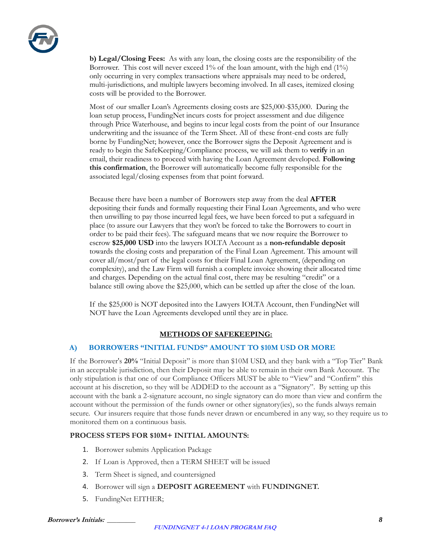

**b) Legal/Closing Fees:** As with any loan, the closing costs are the responsibility of the Borrower. This cost will never exceed  $1\%$  of the loan amount, with the high end  $(1\%)$ only occurring in very complex transactions where appraisals may need to be ordered, multi-jurisdictions, and multiple lawyers becoming involved. In all cases, itemized closing costs will be provided to the Borrower.

Most of our smaller Loan's Agreements closing costs are \$25,000-\$35,000. During the loan setup process, FundingNet incurs costs for project assessment and due diligence through Price Waterhouse, and begins to incur legal costs from the point of our Insurance underwriting and the issuance of the Term Sheet. All of these front-end costs are fully borne by FundingNet; however, once the Borrower signs the Deposit Agreement and is ready to begin the SafeKeeping/Compliance process, we will ask them to **verify** in an email, their readiness to proceed with having the Loan Agreement developed. **Following this confirmation**, the Borrower will automatically become fully responsible for the associated legal/closing expenses from that point forward.

Because there have been a number of Borrowers step away from the deal **AFTER**  depositing their funds and formally requesting their Final Loan Agreements, and who were then unwilling to pay those incurred legal fees, we have been forced to put a safeguard in place (to assure our Lawyers that they won't be forced to take the Borrowers to court in order to be paid their fees). The safeguard means that we now require the Borrower to escrow **\$25,000 USD** into the lawyers IOLTA Account as a **non-refundable deposit** towards the closing costs and preparation of the Final Loan Agreement. This amount will cover all/most/part of the legal costs for their Final Loan Agreement, (depending on complexity), and the Law Firm will furnish a complete invoice showing their allocated time and charges. Depending on the actual final cost, there may be resulting "credit" or a balance still owing above the \$25,000, which can be settled up after the close of the loan.

If the \$25,000 is NOT deposited into the Lawyers IOLTA Account, then FundingNet will NOT have the Loan Agreements developed until they are in place.

### **METHODS OF SAFEKEEPING:**

### **A) BORROWERS "INITIAL FUNDS" AMOUNT TO \$10M USD OR MORE**

If the Borrower's **20%** "Initial Deposit" is more than \$10M USD, and they bank with a "Top Tier" Bank in an acceptable jurisdiction, then their Deposit may be able to remain in their own Bank Account. The only stipulation is that one of our Compliance Officers MUST be able to "View" and "Confirm" this account at his discretion, so they will be ADDED to the account as a "Signatory". By setting up this account with the bank a 2-signature account, no single signatory can do more than view and confirm the account without the permission of the funds owner or other signatory(ies), so the funds always remain secure. Our insurers require that those funds never drawn or encumbered in any way, so they require us to monitored them on a continuous basis.

### **PROCESS STEPS FOR \$10M+ INITIAL AMOUNTS:**

- 1. Borrower submits Application Package
- 2. If Loan is Approved, then a TERM SHEET will be issued
- 3. Term Sheet is signed, and countersigned
- 4. Borrower will sign a **DEPOSIT AGREEMENT** with **FUNDINGNET.**
- 5. FundingNet EITHER;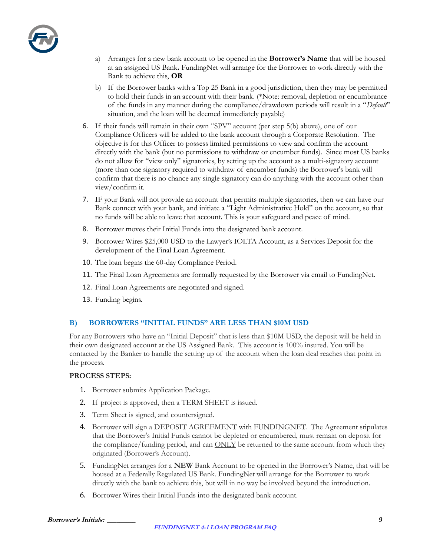

- a) Arranges for a new bank account to be opened in the **Borrower's Name** that will be housed at an assigned US Bank**.** FundingNet will arrange for the Borrower to work directly with the Bank to achieve this, **OR**
- b) If the Borrower banks with a Top 25 Bank in a good jurisdiction, then they may be permitted to hold their funds in an account with their bank. (\*Note: removal, depletion or encumbrance of the funds in any manner during the compliance/drawdown periods will result in a "*Default*" situation, and the loan will be deemed immediately payable)
- 6. If their funds will remain in their own "SPV" account (per step 5(b) above), one of our Compliance Officers will be added to the bank account through a Corporate Resolution. The objective is for this Officer to possess limited permissions to view and confirm the account directly with the bank (but no permissions to withdraw or encumber funds). Since most US banks do not allow for "view only" signatories, by setting up the account as a multi-signatory account (more than one signatory required to withdraw of encumber funds) the Borrower's bank will confirm that there is no chance any single signatory can do anything with the account other than view/confirm it.
- 7. IF your Bank will not provide an account that permits multiple signatories, then we can have our Bank connect with your bank, and initiate a "Light Administrative Hold" on the account, so that no funds will be able to leave that account. This is your safeguard and peace of mind.
- 8. Borrower moves their Initial Funds into the designated bank account.
- 9. Borrower Wires \$25,000 USD to the Lawyer's IOLTA Account, as a Services Deposit for the development of the Final Loan Agreement.
- 10. The loan begins the 60-day Compliance Period.
- 11. The Final Loan Agreements are formally requested by the Borrower via email to FundingNet.
- 12. Final Loan Agreements are negotiated and signed.
- 13. Funding begins.

### **B) BORROWERS "INITIAL FUNDS" ARE LESS THAN \$10M USD**

For any Borrowers who have an "Initial Deposit" that is less than \$10M USD, the deposit will be held in their own designated account at the US Assigned Bank. This account is 100% insured. You will be contacted by the Banker to handle the setting up of the account when the loan deal reaches that point in the process.

#### **PROCESS STEPS:**

- 1. Borrower submits Application Package.
- 2. If project is approved, then a TERM SHEET is issued.
- 3. Term Sheet is signed, and countersigned.
- 4. Borrower will sign a DEPOSIT AGREEMENT with FUNDINGNET. The Agreement stipulates that the Borrower's Initial Funds cannot be depleted or encumbered, must remain on deposit for the compliance/funding period, and can ONLY be returned to the same account from which they originated (Borrower's Account).
- 5. FundingNet arranges for a **NEW** Bank Account to be opened in the Borrower's Name, that will be housed at a Federally Regulated US Bank. FundingNet will arrange for the Borrower to work directly with the bank to achieve this, but will in no way be involved beyond the introduction.
- 6. Borrower Wires their Initial Funds into the designated bank account.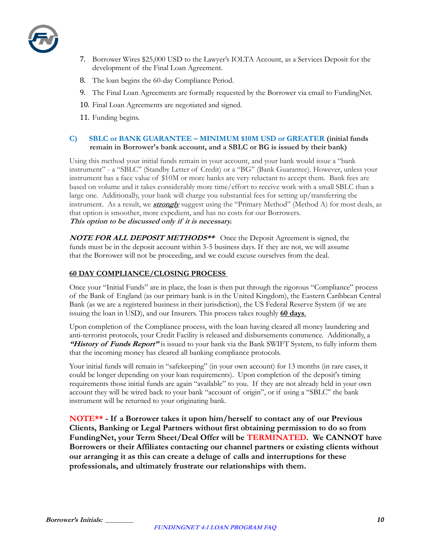

- 7. Borrower Wires \$25,000 USD to the Lawyer's IOLTA Account, as a Services Deposit for the development of the Final Loan Agreement.
- 8. The loan begins the 60-day Compliance Period.
- 9. The Final Loan Agreements are formally requested by the Borrower via email to FundingNet.
- 10. Final Loan Agreements are negotiated and signed.
- 11. Funding begins.

### **C) SBLC or BANK GUARANTEE – MINIMUM \$10M USD or GREATER (initial funds remain in Borrower's bank account, and a SBLC or BG is issued by their bank)**

Using this method your initial funds remain in your account, and your bank would issue a "bank instrument" - a "SBLC" (Standby Letter of Credit) or a "BG" (Bank Guarantee). However, unless your instrument has a face value of \$10M or more banks are very reluctant to accept them. Bank fees are based on volume and it takes considerably more time/effort to receive work with a small SBLC than a large one. Additionally, your bank will charge you substantial fees for setting up/transferring the instrument. As a result, we **strongly** suggest using the "Primary Method" (Method A) for most deals, as that option is smoother, more expedient, and has no costs for our Borrowers. **This option to be discussed only if it is necessary.**

**NOTE FOR ALL DEPOSIT METHODS\*\*** Once the Deposit Agreement is signed, the funds must be in the deposit account within 3-5 business days. If they are not, we will assume that the Borrower will not be proceeding, and we could excuse ourselves from the deal.

### **60 DAY COMPLIANCE/CLOSING PROCESS**

Once your "Initial Funds" are in place, the loan is then put through the rigorous "Compliance" process of the Bank of England (as our primary bank is in the United Kingdom), the Eastern Caribbean Central Bank (as we are a registered business in their jurisdiction), the US Federal Reserve System (if we are issuing the loan in USD), and our Insurers. This process takes roughly **60 days**.

Upon completion of the Compliance process, with the loan having cleared all money laundering and anti-terrorist protocols, your Credit Facility is released and disbursements commence. Additionally, a **"History of Funds Report"** is issued to your bank via the Bank SWIFT System, to fully inform them that the incoming money has cleared all banking compliance protocols.

Your initial funds will remain in "safekeeping" (in your own account) for 13 months (in rare cases, it could be longer depending on your loan requirements). Upon completion of the deposit's timing requirements those initial funds are again "available" to you. If they are not already held in your own account they will be wired back to your bank "account of origin", or if using a "SBLC" the bank instrument will be returned to your originating bank.

**NOTE\*\* - If a Borrower takes it upon him/herself to contact any of our Previous Clients, Banking or Legal Partners without first obtaining permission to do so from FundingNet, your Term Sheet/Deal Offer will be TERMINATED. We CANNOT have Borrowers or their Affiliates contacting our channel partners or existing clients without our arranging it as this can create a deluge of calls and interruptions for these professionals, and ultimately frustrate our relationships with them.**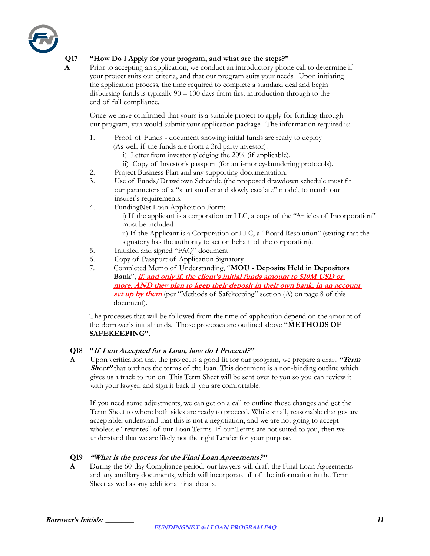

### **Q17 "How Do I Apply for your program, and what are the steps?"**

**A** Prior to accepting an application, we conduct an introductory phone call to determine if your project suits our criteria, and that our program suits your needs. Upon initiating the application process, the time required to complete a standard deal and begin disbursing funds is typically 90 – 100 days from first introduction through to the end of full compliance.

Once we have confirmed that yours is a suitable project to apply for funding through our program, you would submit your application package. The information required is:

- 1. Proof of Funds document showing initial funds are ready to deploy
	- (As well, if the funds are from a 3rd party investor):
		- i) Letter from investor pledging the 20% (if applicable).
		- ii) Copy of Investor's passport (for anti-money-laundering protocols).
- 2. Project Business Plan and any supporting documentation.
- 3. Use of Funds/Drawdown Schedule (the proposed drawdown schedule must fit our parameters of a "start smaller and slowly escalate" model, to match our insurer's requirements.
- 4. FundingNet Loan Application Form:
	- i) If the applicant is a corporation or LLC, a copy of the "Articles of Incorporation" must be included
	- ii) If the Applicant is a Corporation or LLC, a "Board Resolution" (stating that the signatory has the authority to act on behalf of the corporation).
- 5. Initialed and signed "FAQ" document.
- 6. Copy of Passport of Application Signatory
- 7. Completed Memo of Understanding, "**MOU - Deposits Held in Depositors Bank**", **if, and only if, the client's initial funds amount to \$10M USD or more, AND they plan to keep their deposit in their own bank, in an account set up by them** (per "Methods of Safekeeping" section (A) on page 8 of this document).

The processes that will be followed from the time of application depend on the amount of the Borrower's initial funds. Those processes are outlined above **"METHODS OF SAFEKEEPING"**.

### **Q18 "If I am Accepted for a Loan, how do I Proceed?"**

**A** Upon verification that the project is a good fit for our program, we prepare a draft **"Term Sheet"** that outlines the terms of the loan. This document is a non-binding outline which gives us a track to run on. This Term Sheet will be sent over to you so you can review it with your lawyer, and sign it back if you are comfortable.

If you need some adjustments, we can get on a call to outline those changes and get the Term Sheet to where both sides are ready to proceed. While small, reasonable changes are acceptable, understand that this is not a negotiation, and we are not going to accept wholesale "rewrites" of our Loan Terms. If our Terms are not suited to you, then we understand that we are likely not the right Lender for your purpose.

### **Q19 "What is the process for the Final Loan Agreements?"**

**A** During the 60-day Compliance period, our lawyers will draft the Final Loan Agreements and any ancillary documents, which will incorporate all of the information in the Term Sheet as well as any additional final details.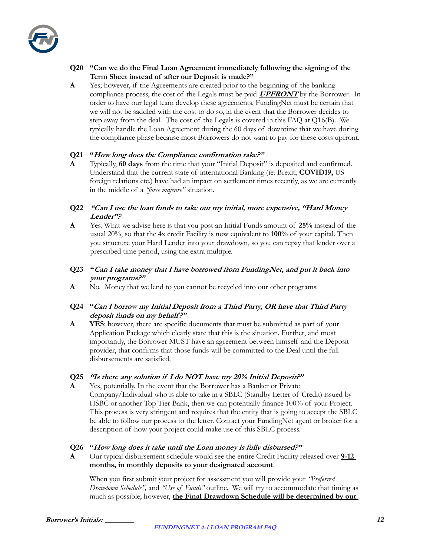

### **Q20 "Can we do the Final Loan Agreement immediately following the signing of the Term Sheet instead of after our Deposit is made?"**

**A** Yes; however, if the Agreements are created prior to the beginning of the banking compliance process, the cost of the Legals must be paid **UPFRONT** by the Borrower. In order to have our legal team develop these agreements, FundingNet must be certain that we will not be saddled with the cost to do so, in the event that the Borrower decides to step away from the deal. The cost of the Legals is covered in this FAQ at Q16(B). We typically handle the Loan Agreement during the 60 days of downtime that we have during the compliance phase because most Borrowers do not want to pay for these costs upfront.

### **Q21 "How long does the Compliance confirmation take?"**

- **A** Typically, **60 days** from the time that your "Initial Deposit" is deposited and confirmed. Understand that the current state of international Banking (ie: Brexit, **COVID19,** US foreign relations etc.) have had an impact on settlement times recently, as we are currently in the middle of a *"force majeure"* situation.
- **Q22 "Can I use the loan funds to take out my initial, more expensive, "Hard Money Lender"?**
- **A** Yes. What we advise here is that you post an Initial Funds amount of **25%** instead of the usual 20%, so that the 4x credit Facility is now equivalent to **100%** of your capital. Then you structure your Hard Lender into your drawdown, so you can repay that lender over a prescribed time period, using the extra multiple.
- **Q23 "Can I take money that I have borrowed from FundingNet, and put it back into your programs?"**
- **A** No. Money that we lend to you cannot be recycled into our other programs.

### **Q24 "Can I borrow my Initial Deposit from a Third Party, OR have that Third Party deposit funds on my behalf ?"**

**A YES**; however, there are specific documents that must be submitted as part of your Application Package which clearly state that this is the situation. Further, and most importantly, the Borrower MUST have an agreement between himself and the Deposit provider, that confirms that those funds will be committed to the Deal until the full disbursements are satisfied.

### **Q25 "Is there any solution if I do NOT have my 20% Initial Deposit?"**

**A** Yes, potentially. In the event that the Borrower has a Banker or Private Company/Individual who is able to take in a SBLC (Standby Letter of Credit) issued by HSBC or another Top Tier Bank, then we can potentially finance 100% of your Project. This process is very stringent and requires that the entity that is going to accept the SBLC be able to follow our process to the letter. Contact your FundingNet agent or broker for a description of how your project could make use of this SBLC process.

### **Q26 "How long does it take until the Loan money is fully disbursed?"**

**A** Our typical disbursement schedule would see the entire Credit Facility released over **9-12 months, in monthly deposits to your designated account**.

When you first submit your project for assessment you will provide your *"Preferred Drawdown Schedule",* and *"Use of Funds"* outline. We will try to accommodate that timing as much as possible; however, **the Final Drawdown Schedule will be determined by our**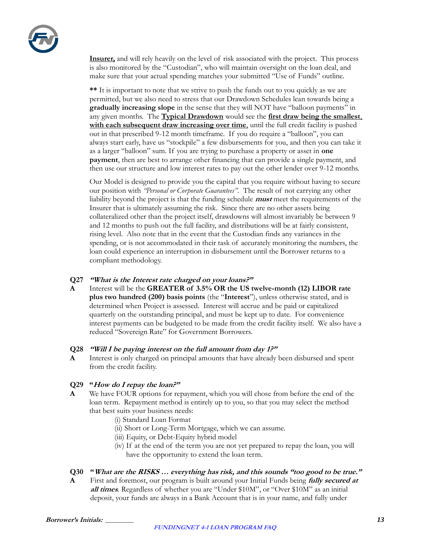

**Insurer,** and will rely heavily on the level of risk associated with the project. This process is also monitored by the "Custodian", who will maintain oversight on the loan deal, and make sure that your actual spending matches your submitted "Use of Funds" outline.

**\*\*** It is important to note that we strive to push the funds out to you quickly as we are permitted, but we also need to stress that our Drawdown Schedules lean towards being a **gradually increasing slope** in the sense that they will NOT have "balloon payments" in any given months. The **Typical Drawdown** would see the **first draw being the smallest**, **with each subsequent draw increasing over time**, until the full credit facility is pushed out in that prescribed 9-12 month timeframe. If you do require a "balloon", you can always start early, have us "stockpile" a few disbursements for you, and then you can take it as a larger "balloon" sum. If you are trying to purchase a property or asset in **one payment**, then are best to arrange other financing that can provide a single payment, and then use our structure and low interest rates to pay out the other lender over 9-12 months.

Our Model is designed to provide you the capital that you require without having to secure our position with *"Personal or Corporate Guarantees"*. The result of not carrying any other liability beyond the project is that the funding schedule **must** meet the requirements of the Insurer that is ultimately assuming the risk. Since there are no other assets being collateralized other than the project itself, drawdowns will almost invariably be between 9 and 12 months to push out the full facility, and distributions will be at fairly consistent, rising level. Also note that in the event that the Custodian finds any variances in the spending, or is not accommodated in their task of accurately monitoring the numbers, the loan could experience an interruption in disbursement until the Borrower returns to a compliant methodology.

### **Q27 "What is the Interest rate charged on your loans?"**

**A** Interest will be the **GREATER of 3.5% OR the US twelve-month (12) LIBOR rate plus two hundred (200) basis points** (the "**Interest**"), unless otherwise stated, and is determined when Project is assessed. Interest will accrue and be paid or capitalized quarterly on the outstanding principal, and must be kept up to date. For convenience interest payments can be budgeted to be made from the credit facility itself. We also have a reduced "Sovereign Rate" for Government Borrowers.

#### **Q28 "Will I be paying interest on the full amount from day 1?"**

**A** Interest is only charged on principal amounts that have already been disbursed and spent from the credit facility.

### **Q29 "How do I repay the loan?"**

- **A** We have FOUR options for repayment, which you will chose from before the end of the loan term. Repayment method is entirely up to you, so that you may select the method that best suits your business needs:
	- (i) Standard Loan Format
	- (ii) Short or Long-Term Mortgage, which we can assume.
	- (iii) Equity, or Debt-Equity hybrid model
	- (iv) If at the end of the term you are not yet prepared to repay the loan, you will have the opportunity to extend the loan term.

### **Q30 "What are the RISKS … everything has risk, and this sounds "too good to be true."**

**A** First and foremost, our program is built around your Initial Funds being **fully secured at all times**. Regardless of whether you are "Under \$10M", or "Over \$10M" as an initial deposit, your funds are always in a Bank Account that is in your name, and fully under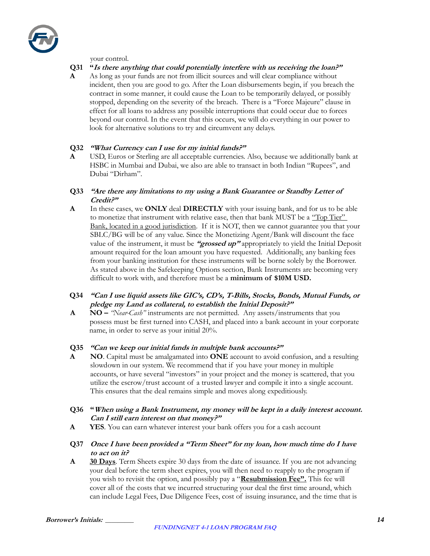### your control.

### **Q31 "Is there anything that could potentially interfere with us receiving the loan?"**

**A** As long as your funds are not from illicit sources and will clear compliance without incident, then you are good to go. After the Loan disbursements begin, if you breach the contract in some manner, it could cause the Loan to be temporarily delayed, or possibly stopped, depending on the severity of the breach. There is a "Force Majeure" clause in effect for all loans to address any possible interruptions that could occur due to forces beyond our control. In the event that this occurs, we will do everything in our power to look for alternative solutions to try and circumvent any delays.

### **Q32 "What Currency can I use for my initial funds?"**

**A** USD, Euros or Sterling are all acceptable currencies. Also, because we additionally bank at HSBC in Mumbai and Dubai, we also are able to transact in both Indian "Rupees", and Dubai "Dirham".

### **Q33 "Are there any limitations to my using a Bank Guarantee or Standby Letter of Credit?"**

**A** In these cases, we **ONLY** deal **DIRECTLY** with your issuing bank, and for us to be able to monetize that instrument with relative ease, then that bank MUST be a "Top Tier" Bank, located in a good jurisdiction. If it is NOT, then we cannot guarantee you that your SBLC/BG will be of any value. Since the Monetizing Agent/Bank will discount the face value of the instrument, it must be **"grossed up"** appropriately to yield the Initial Deposit amount required for the loan amount you have requested. Additionally, any banking fees from your banking institution for these instruments will be borne solely by the Borrower. As stated above in the Safekeeping Options section, Bank Instruments are becoming very difficult to work with, and therefore must be a **minimum of \$10M USD.**

### **Q34 "Can I use liquid assets like GIC's, CD's, T-Bills, Stocks, Bonds, Mutual Funds, or pledge my Land as collateral, to establish the Initial Deposit?"**

**A NO –** *"Near-Cash"* instruments are not permitted. Any assets/instruments that you possess must be first turned into CASH, and placed into a bank account in your corporate name, in order to serve as your initial 20%.

#### **Q35 "Can we keep our initial funds in multiple bank accounts?"**

- **A NO**. Capital must be amalgamated into **ONE** account to avoid confusion, and a resulting slowdown in our system. We recommend that if you have your money in multiple accounts, or have several "investors" in your project and the money is scattered, that you utilize the escrow/trust account of a trusted lawyer and compile it into a single account. This ensures that the deal remains simple and moves along expeditiously.
- **Q36 "When using a Bank Instrument, my money will be kept in a daily interest account. Can I still earn interest on that money?"**
- **A YES**. You can earn whatever interest your bank offers you for a cash account
- **Q37 Once I have been provided a "Term Sheet" for my loan, how much time do I have to act on it?**
- **A 30 Days**. Term Sheets expire 30 days from the date of issuance. If you are not advancing your deal before the term sheet expires, you will then need to reapply to the program if you wish to revisit the option, and possibly pay a "**Resubmission Fee".** This fee will cover all of the costs that we incurred structuring your deal the first time around, which can include Legal Fees, Due Diligence Fees, cost of issuing insurance, and the time that is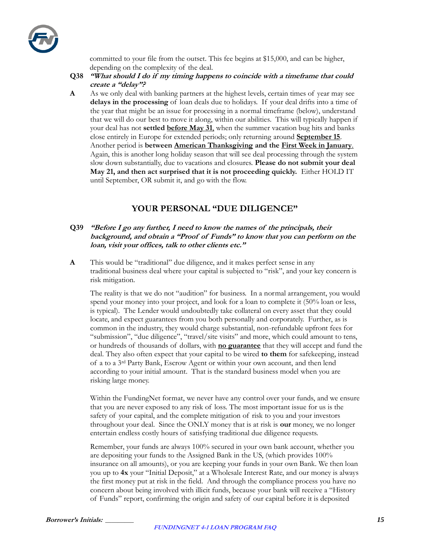

committed to your file from the outset. This fee begins at \$15,000, and can be higher, depending on the complexity of the deal.

- **Q38 "What should I do if my timing happens to coincide with a timeframe that could create a "delay"?**
- **A** As we only deal with banking partners at the highest levels, certain times of year may see **delays in the processing** of loan deals due to holidays. If your deal drifts into a time of the year that might be an issue for processing in a normal timeframe (below), understand that we will do our best to move it along, within our abilities. This will typically happen if your deal has not **settled before May 31**, when the summer vacation bug hits and banks close entirely in Europe for extended periods; only returning around **September 15**. Another period is **between American Thanksgiving and the First Week in January**. Again, this is another long holiday season that will see deal processing through the system slow down substantially, due to vacations and closures. **Please do not submit your deal May 21, and then act surprised that it is not proceeding quickly.** Either HOLD IT until September, OR submit it, and go with the flow.

### **YOUR PERSONAL "DUE DILIGENCE"**

- **Q39 "Before I go any further, I need to know the names of the principals, their background, and obtain a "Proof of Funds" to know that you can perform on the loan, visit your offices, talk to other clients etc."**
- **A** This would be "traditional" due diligence, and it makes perfect sense in any traditional business deal where your capital is subjected to "risk", and your key concern is risk mitigation.

The reality is that we do not "audition" for business. In a normal arrangement, you would spend your money into your project, and look for a loan to complete it (50% loan or less, is typical). The Lender would undoubtedly take collateral on every asset that they could locate, and expect guarantees from you both personally and corporately. Further, as is common in the industry, they would charge substantial, non-refundable upfront fees for "submission", "due diligence", "travel/site visits" and more, which could amount to tens, or hundreds of thousands of dollars, with **no guarantee** that they will accept and fund the deal. They also often expect that your capital to be wired **to them** for safekeeping, instead of a to a 3rd Party Bank, Escrow Agent or within your own account, and then lend according to your initial amount. That is the standard business model when you are risking large money.

Within the FundingNet format, we never have any control over your funds, and we ensure that you are never exposed to any risk of loss. The most important issue for us is the safety of your capital, and the complete mitigation of risk to you and your investors throughout your deal. Since the ONLY money that is at risk is **our** money, we no longer entertain endless costly hours of satisfying traditional due diligence requests.

Remember, your funds are always 100% secured in your own bank account, whether you are depositing your funds to the Assigned Bank in the US, (which provides 100% insurance on all amounts), or you are keeping your funds in your own Bank. We then loan you up to **4x** your "Initial Deposit," at a Wholesale Interest Rate, and our money is always the first money put at risk in the field. And through the compliance process you have no concern about being involved with illicit funds, because your bank will receive a "History of Funds" report, confirming the origin and safety of our capital before it is deposited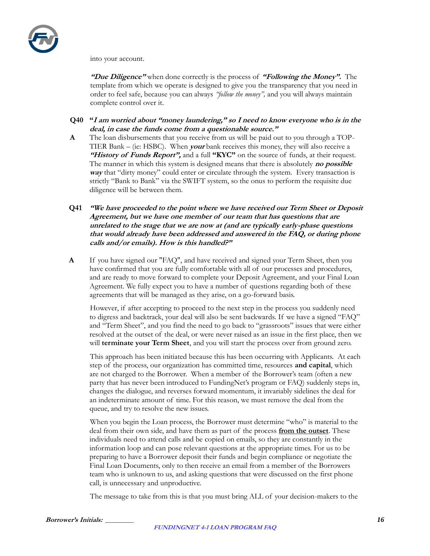

into your account.

**"Due Diligence"** when done correctly is the process of **"Following the Money".** The template from which we operate is designed to give you the transparency that you need in order to feel safe, because you can always *"follow the money",* and you will always maintain complete control over it.

- **Q40 "I am worried about "money laundering," so I need to know everyone who is in the deal, in case the funds come from a questionable source."**
- **A** The loan disbursements that you receive from us will be paid out to you through a TOP-TIER Bank – (ie: HSBC). When **your** bank receives this money, they will also receive a **"History of Funds Report",** and a full "KYC" on the source of funds, at their request. The manner in which this system is designed means that there is absolutely **no possible way** that "dirty money" could enter or circulate through the system. Every transaction is strictly "Bank to Bank" via the SWIFT system, so the onus to perform the requisite due diligence will be between them.
- **Q41 "We have proceeded to the point where we have received our Term Sheet or Deposit Agreement, but we have one member of our team that has questions that are unrelated to the stage that we are now at (and are typically early-phase questions that would already have been addressed and answered in the FAQ, or during phone calls and/or emails). How is this handled?"**
- **A** If you have signed our "FAQ", and have received and signed your Term Sheet, then you have confirmed that you are fully comfortable with all of our processes and procedures, and are ready to move forward to complete your Deposit Agreement, and your Final Loan Agreement. We fully expect you to have a number of questions regarding both of these agreements that will be managed as they arise, on a go-forward basis.

However, if after accepting to proceed to the next step in the process you suddenly need to digress and backtrack, your deal will also be sent backwards. If we have a signed "FAQ" and "Term Sheet", and you find the need to go back to "grassroots" issues that were either resolved at the outset of the deal, or were never raised as an issue in the first place, then we will **terminate your Term Sheet**, and you will start the process over from ground zero.

This approach has been initiated because this has been occurring with Applicants. At each step of the process, our organization has committed time, resources **and capital**, which are not charged to the Borrower. When a member of the Borrower's team (often a new party that has never been introduced to FundingNet's program or FAQ) suddenly steps in, changes the dialogue, and reverses forward momentum, it invariably sidelines the deal for an indeterminate amount of time. For this reason, we must remove the deal from the queue, and try to resolve the new issues.

When you begin the Loan process, the Borrower must determine "who" is material to the deal from their own side, and have them as part of the process **from the outset**. These individuals need to attend calls and be copied on emails, so they are constantly in the information loop and can pose relevant questions at the appropriate times. For us to be preparing to have a Borrower deposit their funds and begin compliance or negotiate the Final Loan Documents, only to then receive an email from a member of the Borrowers team who is unknown to us, and asking questions that were discussed on the first phone call, is unnecessary and unproductive.

The message to take from this is that you must bring ALL of your decision-makers to the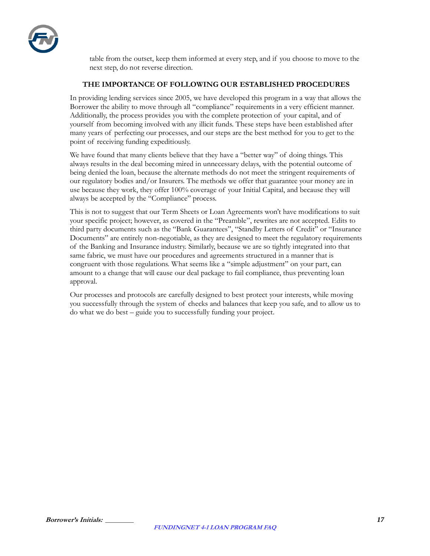

table from the outset, keep them informed at every step, and if you choose to move to the next step, do not reverse direction.

### **THE IMPORTANCE OF FOLLOWING OUR ESTABLISHED PROCEDURES**

In providing lending services since 2005, we have developed this program in a way that allows the Borrower the ability to move through all "compliance" requirements in a very efficient manner. Additionally, the process provides you with the complete protection of your capital, and of yourself from becoming involved with any illicit funds. These steps have been established after many years of perfecting our processes, and our steps are the best method for you to get to the point of receiving funding expeditiously.

We have found that many clients believe that they have a "better way" of doing things. This always results in the deal becoming mired in unnecessary delays, with the potential outcome of being denied the loan, because the alternate methods do not meet the stringent requirements of our regulatory bodies and/or Insurers. The methods we offer that guarantee your money are in use because they work, they offer 100% coverage of your Initial Capital, and because they will always be accepted by the "Compliance" process.

This is not to suggest that our Term Sheets or Loan Agreements won't have modifications to suit your specific project; however, as covered in the "Preamble", rewrites are not accepted. Edits to third party documents such as the "Bank Guarantees", "Standby Letters of Credit" or "Insurance Documents" are entirely non-negotiable, as they are designed to meet the regulatory requirements of the Banking and Insurance industry. Similarly, because we are so tightly integrated into that same fabric, we must have our procedures and agreements structured in a manner that is congruent with those regulations. What seems like a "simple adjustment" on your part, can amount to a change that will cause our deal package to fail compliance, thus preventing loan approval.

Our processes and protocols are carefully designed to best protect your interests, while moving you successfully through the system of checks and balances that keep you safe, and to allow us to do what we do best – guide you to successfully funding your project.